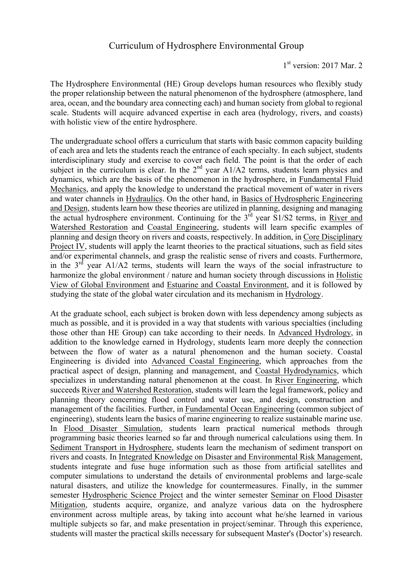The Hydrosphere Environmental (HE) Group develops human resources who flexibly study the proper relationship between the natural phenomenon of the hydrosphere (atmosphere, land area, ocean, and the boundary area connecting each) and human society from global to regional scale. Students will acquire advanced expertise in each area (hydrology, rivers, and coasts) with holistic view of the entire hydrosphere.

The undergraduate school offers a curriculum that starts with basic common capacity building of each area and lets the students reach the entrance of each specialty. In each subject, students interdisciplinary study and exercise to cover each field. The point is that the order of each subject in the curriculum is clear. In the  $2<sup>nd</sup>$  year A1/A2 terms, students learn physics and dynamics, which are the basis of the phenomenon in the hydrosphere, in Fundamental Fluid Mechanics, and apply the knowledge to understand the practical movement of water in rivers and water channels in Hydraulics. On the other hand, in Basics of Hydrospheric Engineering and Design, students learn how these theories are utilized in planning, designing and managing the actual hydrosphere environment. Continuing for the  $3<sup>rd</sup>$  year S1/S2 terms, in River and Watershed Restoration and Coastal Engineering, students will learn specific examples of planning and design theory on rivers and coasts, respectively. In addition, in Core Disciplinary Project IV, students will apply the learnt theories to the practical situations, such as field sites and/or experimental channels, and grasp the realistic sense of rivers and coasts. Furthermore, in the  $3<sup>rd</sup>$  year A1/A2 terms, students will learn the ways of the social infrastructure to harmonize the global environment / nature and human society through discussions in Holistic View of Global Environment and Estuarine and Coastal Environment, and it is followed by studying the state of the global water circulation and its mechanism in Hydrology.

At the graduate school, each subject is broken down with less dependency among subjects as much as possible, and it is provided in a way that students with various specialties (including those other than HE Group) can take according to their needs. In Advanced Hydrology, in addition to the knowledge earned in Hydrology, students learn more deeply the connection between the flow of water as a natural phenomenon and the human society. Coastal Engineering is divided into Advanced Coastal Engineering, which approaches from the practical aspect of design, planning and management, and Coastal Hydrodynamics, which specializes in understanding natural phenomenon at the coast. In River Engineering, which succeeds River and Watershed Restoration, students will learn the legal framework, policy and planning theory concerning flood control and water use, and design, construction and management of the facilities. Further, in Fundamental Ocean Engineering (common subject of engineering), students learn the basics of marine engineering to realize sustainable marine use. In Flood Disaster Simulation, students learn practical numerical methods through programming basic theories learned so far and through numerical calculations using them. In Sediment Transport in Hydrosphere, students learn the mechanism of sediment transport on rivers and coasts. In Integrated Knowledge on Disaster and Environmental Risk Management, students integrate and fuse huge information such as those from artificial satellites and computer simulations to understand the details of environmental problems and large-scale natural disasters, and utilize the knowledge for countermeasures. Finally, in the summer semester Hydrospheric Science Project and the winter semester Seminar on Flood Disaster Mitigation, students acquire, organize, and analyze various data on the hydrosphere environment across multiple areas, by taking into account what he/she learned in various multiple subjects so far, and make presentation in project/seminar. Through this experience, students will master the practical skills necessary for subsequent Master's (Doctor's) research.